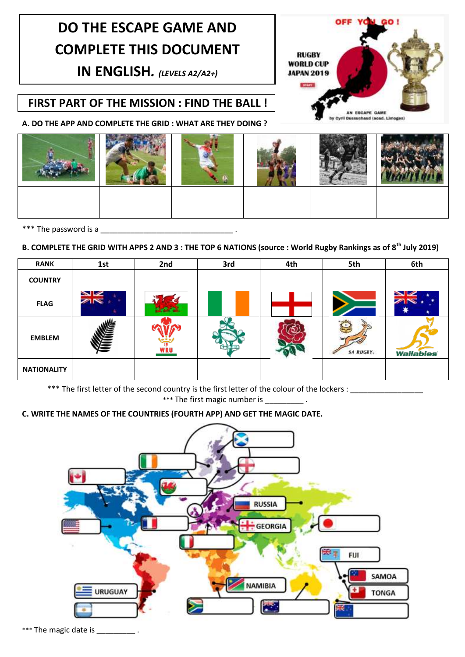# **DO THE ESCAPE GAME AND COMPLETE THIS DOCUMENT**

**IN ENGLISH***. (LEVELS A2/A2+)*

## **FIRST PART OF THE MISSION : FIND THE BALL !**

**A. DO THE APP AND COMPLETE THE GRID : WHAT ARE THEY DOING ?**



**RUGBY WORLD CUP JAPAN 2019** 

**ESCAPE GAME** 

\*\*\* The password is a \_\_\_\_\_\_\_\_\_\_\_\_\_\_\_\_\_\_\_\_\_\_\_\_\_\_\_\_\_\_\_ .

**B. COMPLETE THE GRID WITH APPS 2 AND 3 : THE TOP 6 NATIONS (source : World Rugby Rankings as of 8th July 2019)**

| <b>RANK</b>        | 1st | 2nd | 3rd | 4th | 5th             | 6th              |
|--------------------|-----|-----|-----|-----|-----------------|------------------|
| <b>COUNTRY</b>     |     |     |     |     |                 |                  |
| <b>FLAG</b>        | ZR  |     |     |     |                 |                  |
| <b>EMBLEM</b>      |     | WRU |     |     | <b>SA RUGBY</b> | <b>Wallables</b> |
| <b>NATIONALITY</b> |     |     |     |     |                 |                  |

\*\*\* The first letter of the second country is the first letter of the colour of the lockers :

\*\*\* The first magic number is  $\cdot$ .

### **C. WRITE THE NAMES OF THE COUNTRIES (FOURTH APP) AND GET THE MAGIC DATE.**